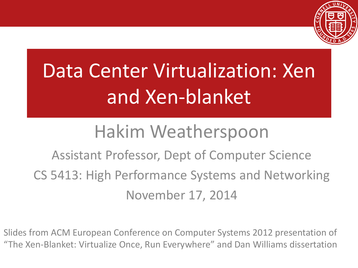

# Data Center Virtualization: Xen and Xen-blanket

#### Hakim Weatherspoon

Assistant Professor, Dept of Computer Science CS 5413: High Performance Systems and Networking November 17, 2014

Slides from ACM European Conference on Computer Systems 2012 presentation of "The Xen-Blanket: Virtualize Once, Run Everywhere" and Dan Williams dissertation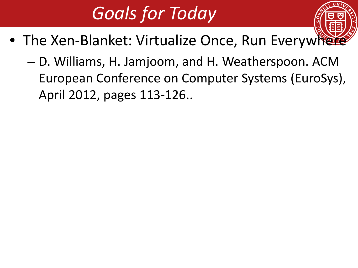# *Goals for Today*

- The Xen-Blanket: Virtualize Once, Run Everywhere
	- D. Williams, H. Jamjoom, and H. Weatherspoon. ACM European Conference on Computer Systems (EuroSys), April 2012, pages 113-126..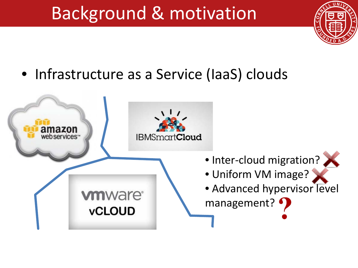#### Background & motivation



• Infrastructure as a Service (IaaS) clouds

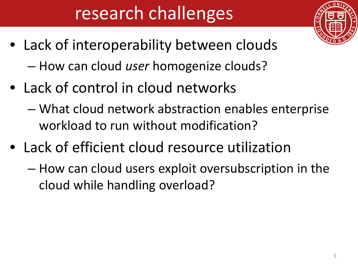# research challenges

- Lack of interoperability between clouds
	- How can cloud *user* homogenize clouds?
- Lack of control in cloud networks
	- What cloud network abstraction enables enterprise workload to run without modification?
- Lack of efficient cloud resource utilization
	- How can cloud users exploit oversubscription in the cloud while handling overload?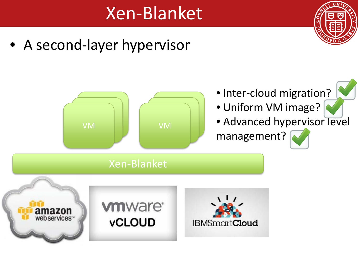#### Xen-Blanket



• A second-layer hypervisor

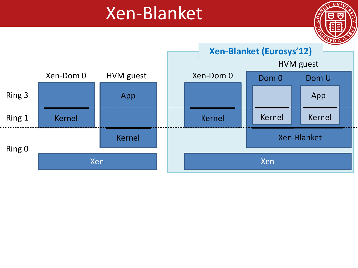#### Xen-Blanket



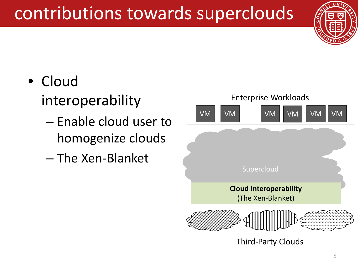## contributions towards superclouds



#### • Cloud interoperability

- Enable cloud user to homogenize clouds
- The Xen-Blanket

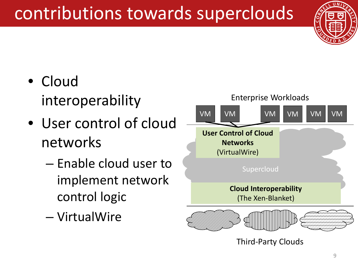# contributions towards superclouds



- Cloud interoperability
- User control of cloud networks
	- Enable cloud user to implement network control logic
	- VirtualWire



Third-Party Clouds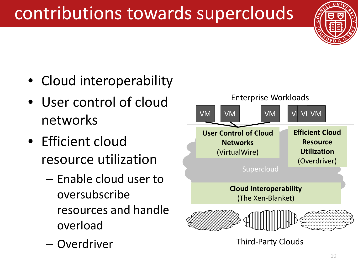# contributions towards superclouds



- Cloud interoperability
- User control of cloud networks
- Efficient cloud resource utilization
	- Enable cloud user to oversubscribe resources and handle overload
	- Overdriver

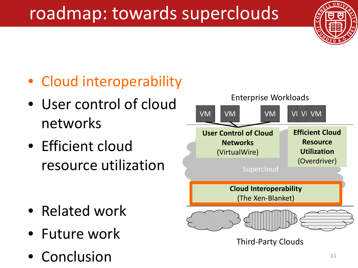# roadmap: towards superclouds



#### • Cloud interoperability

- User control of cloud networks
- Efficient cloud resource utilization

- Related work
- Future work
- **Conclusion**



#### Third-Party Clouds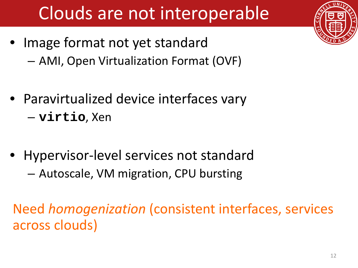# Clouds are not interoperable

- Image format not yet standard
	- AMI, Open Virtualization Format (OVF)
- Paravirtualized device interfaces vary – **virtio**, Xen
- Hypervisor-level services not standard – Autoscale, VM migration, CPU bursting

Need *homogenization* (consistent interfaces, services across clouds)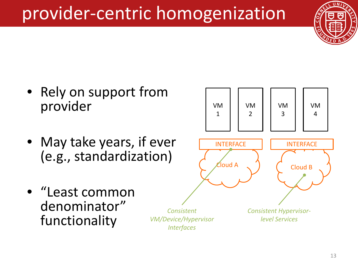## provider-centric homogenization



- Rely on support from provider
- May take years, if ever (e.g., standardization)



• "Least common denominator" functionality

*Consistent VM/Device/Hypervisor Interfaces*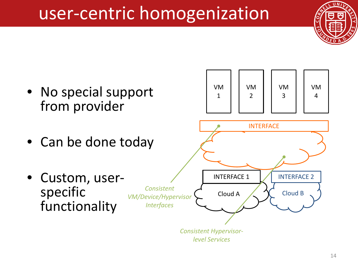#### user-centric homogenization





*level Services*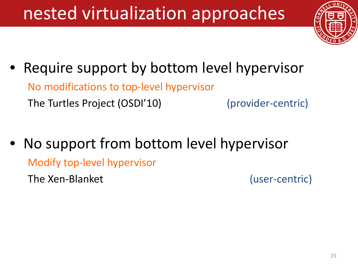# nested virtualization approaches



Require support by bottom level hypervisor

No modifications to top-level hypervisor

The Turtles Project (OSDI'10) (provider-centric)

• No support from bottom level hypervisor

Modify top-level hypervisor

The Xen-Blanket (user-centric)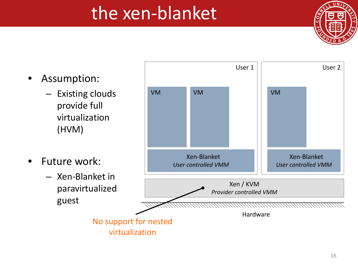#### the xen-blanket

- Assumption:
	- Existing clouds provide full virtualization (HVM)
- Future work:
	- Xen-Blanket in paravirtualized guest

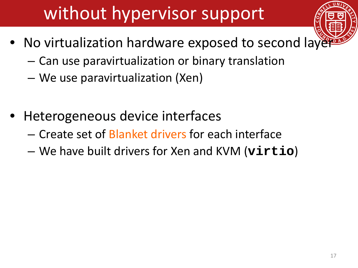# without hypervisor support

- No virtualization hardware exposed to second layer
	- Can use paravirtualization or binary translation
	- We use paravirtualization (Xen)
- Heterogeneous device interfaces
	- Create set of Blanket drivers for each interface
	- We have built drivers for Xen and KVM (**virtio**)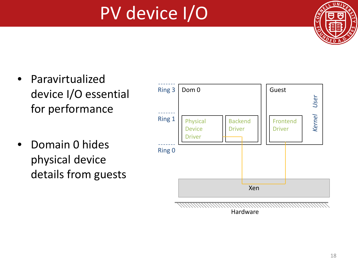# PV device I/O



- **Paravirtualized** device I/O essential for performance
- Domain 0 hides physical device details from guests



Hardware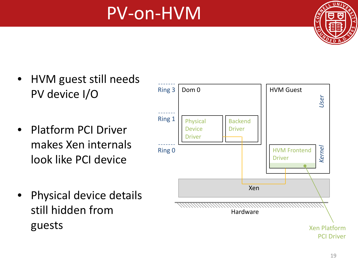#### PV-on-HVM



- HVM guest still needs PV device I/O
- Platform PCI Driver makes Xen internals look like PCI device
- Physical device details still hidden from guests

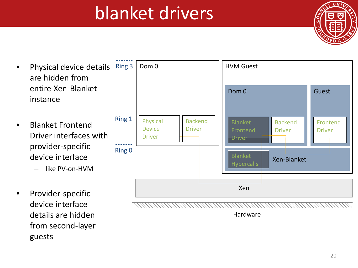#### blanket drivers



- Physical device details are hidden from entire Xen-Blanket instance
- Blanket Frontend Driver interfaces with provider-specific device interface
	- like PV-on-HVM
- Provider-specific device interface details are hidden from second-layer guests



Hardware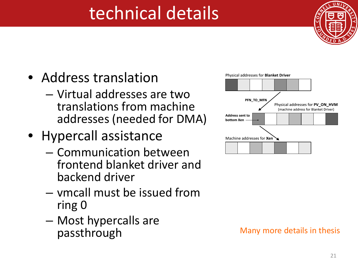### technical details



- Address translation
	- Virtual addresses are two translations from machine addresses (needed for DMA)
- Hypercall assistance
	- Communication between frontend blanket driver and backend driver
	- vmcall must be issued from ring 0
	- Most hypercalls are



#### Many more details in thesis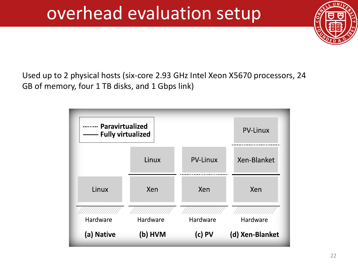#### overhead evaluation setup



Used up to 2 physical hosts (six-core 2.93 GHz Intel Xeon X5670 processors, 24 GB of memory, four 1 TB disks, and 1 Gbps link)

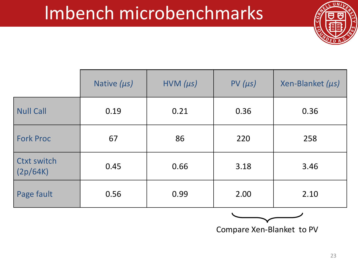#### lmbench microbenchmarks



|                                | Native $(\mu s)$ | $HVM (\mu s)$ | $PV(\mu s)$ | Xen-Blanket (us) |
|--------------------------------|------------------|---------------|-------------|------------------|
| <b>Null Call</b>               | 0.19             | 0.21          | 0.36        | 0.36             |
| <b>Fork Proc</b>               | 67               | 86            | 220         | 258              |
| <b>Ctxt switch</b><br>(2p/64K) | 0.45             | 0.66          | 3.18        | 3.46             |
| Page fault                     | 0.56             | 0.99          | 2.00        | 2.10             |



Compare Xen-Blanket to PV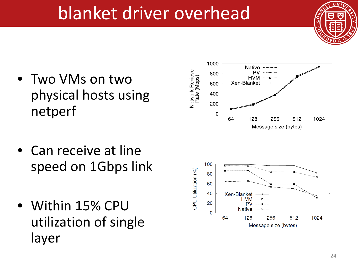- Two VMs on two physical hosts using netperf
- Can receive at line speed on 1Gbps link
- Within 15% CPU utilization of single layer





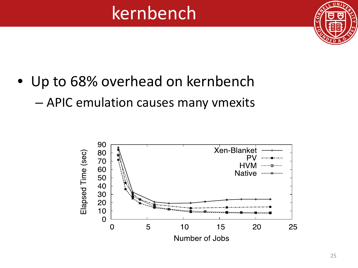#### kernbench



- Up to 68% overhead on kernbench
	- APIC emulation causes many vmexits

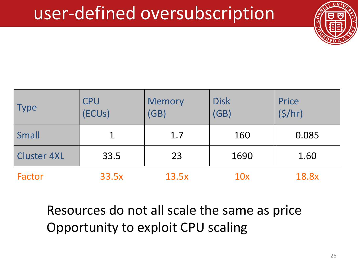#### user-defined oversubscription



| Type               | <b>CPU</b><br><b>ECUS)</b> | <b>Memory</b><br>(GB) | <b>Disk</b><br>(GB) | Price<br>(5/hr) |
|--------------------|----------------------------|-----------------------|---------------------|-----------------|
| Small              |                            | 1.7                   | 160                 | 0.085           |
| <b>Cluster 4XL</b> | 33.5                       | 23                    | 1690                | 1.60            |
| Factor             | 33.5x                      | 13.5x                 | 10x                 | 18.8x           |

Resources do not all scale the same as price Opportunity to exploit CPU scaling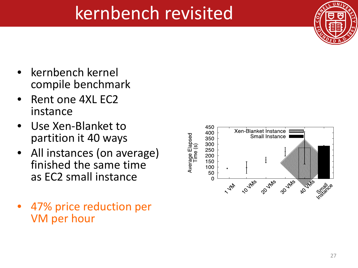#### kernbench revisited



- kernbench kernel compile benchmark
- Rent one 4XL EC2 instance
- Use Xen-Blanket to partition it 40 ways
- All instances (on average) finished the same time as EC2 small instance
- 47% price reduction per VM per hour

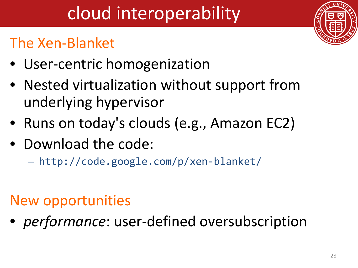# cloud interoperability

#### The Xen-Blanket

- User-centric homogenization
- Nested virtualization without support from underlying hypervisor
- Runs on today's clouds (e.g., Amazon EC2)
- Download the code:
	- http://code.google.com/p/xen-blanket/

#### New opportunities

• *performance*: user-defined oversubscription